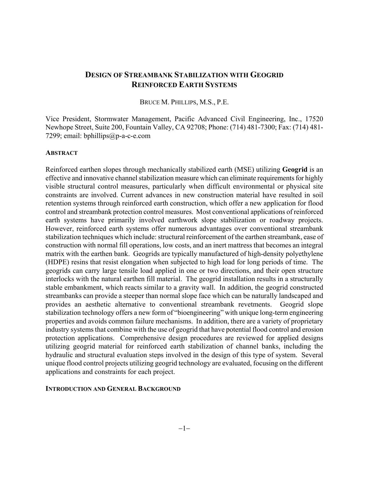# **DESIGN OF STREAMBANK STABILIZATION WITH GEOGRID REINFORCED EARTH SYSTEMS**

### BRUCE M. PHILLIPS, M.S., P.E.

Vice President, Stormwater Management, Pacific Advanced Civil Engineering, Inc., 17520 Newhope Street, Suite 200, Fountain Valley, CA 92708; Phone: (714) 481-7300; Fax: (714) 481- 7299; email: bphillips@p-a-c-e.com

#### **ABSTRACT**

Reinforced earthen slopes through mechanically stabilized earth (MSE) utilizing **Geogrid** is an effective and innovative channel stabilization measure which can eliminate requirements for highly visible structural control measures, particularly when difficult environmental or physical site constraints are involved. Current advances in new construction material have resulted in soil retention systems through reinforced earth construction, which offer a new application for flood control and streambank protection control measures. Most conventional applications of reinforced earth systems have primarily involved earthwork slope stabilization or roadway projects. However, reinforced earth systems offer numerous advantages over conventional streambank stabilization techniques which include: structural reinforcement of the earthen streambank, ease of construction with normal fill operations, low costs, and an inert mattress that becomes an integral matrix with the earthen bank. Geogrids are typically manufactured of high-density polyethylene (HDPE) resins that resist elongation when subjected to high load for long periods of time. The geogrids can carry large tensile load applied in one or two directions, and their open structure interlocks with the natural earthen fill material. The geogrid installation results in a structurally stable embankment, which reacts similar to a gravity wall. In addition, the geogrid constructed streambanks can provide a steeper than normal slope face which can be naturally landscaped and provides an aesthetic alternative to conventional streambank revetments. Geogrid slope stabilization technology offers a new form of "bioengineering" with unique long-term engineering properties and avoids common failure mechanisms. In addition, there are a variety of proprietary industry systems that combine with the use of geogrid that have potential flood control and erosion protection applications. Comprehensive design procedures are reviewed for applied designs utilizing geogrid material for reinforced earth stabilization of channel banks, including the hydraulic and structural evaluation steps involved in the design of this type of system. Several unique flood control projects utilizing geogrid technology are evaluated, focusing on the different applications and constraints for each project.

#### **INTRODUCTION AND GENERAL BACKGROUND**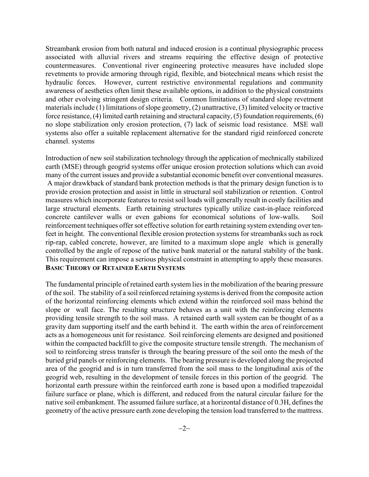Streambank erosion from both natural and induced erosion is a continual physiographic process associated with alluvial rivers and streams requiring the effective design of protective countermeasures. Conventional river engineering protective measures have included slope revetments to provide armoring through rigid, flexible, and biotechnical means which resist the hydraulic forces. However, current restrictive environmental regulations and community awareness of aesthetics often limit these available options, in addition to the physical constraints and other evolving stringent design criteria. Common limitations of standard slope revetment materials include (1) limitations of slope geometry, (2) unattractive, (3) limited velocity or tractive force resistance, (4) limited earth retaining and structural capacity, (5) foundation requirements, (6) no slope stabilization only erosion protection, (7) lack of seismic load resistance. MSE wall systems also offer a suitable replacement alternative for the standard rigid reinforced concrete channel. systems

Introduction of new soil stabilization technology through the application of mechnically stabilized earth (MSE) through geogrid systems offer unique erosion protection solutions which can avoid many of the current issues and provide a substantial economic benefit over conventional measures. A major drawkback of standard bank protection methods is that the primary design function is to provide erosion protection and assist in little in structural soil stabilization or retention. Control measures which incorporate features to resist soil loads will generally result in costly facilities and large structural elements. Earth retaining structures typically utilize cast-in-place reinforced concrete cantilever walls or even gabions for economical solutions of low-walls. Soil reinforcement techniques offer sot effective solution for earth retaining system extending over tenfeet in height. The conventional flexible erosion protection systems for streambanks such as rock rip-rap, cabled concrete, however, are limited to a maximum slope angle which is generally controlled by the angle of repose of the native bank material or the natural stability of the bank. This requirement can impose a serious physical constraint in attempting to apply these measures. **BASIC THEORY OF RETAINED EARTH SYSTEMS**

The fundamental principle of retained earth system lies in the mobilization of the bearing pressure of the soil. The stability of a soil reinforced retaining systems is derived from the composite action of the horizontal reinforcing elements which extend within the reinforced soil mass behind the slope or wall face. The resulting structure behaves as a unit with the reinforcing elements providing tensile strength to the soil mass. A retained earth wall system can be thought of as a gravity dam supporting itself and the earth behind it. The earth within the area of reinforcement acts as a homogeneous unit for resistance. Soil reinforcing elements are designed and positioned within the compacted backfill to give the composite structure tensile strength. The mechanism of soil to reinforcing stress transfer is through the bearing pressure of the soil onto the mesh of the buried grid panels or reinforcing elements. The bearing pressure is developed along the projected area of the geogrid and is in turn transferred from the soil mass to the longitudinal axis of the geogrid web, resulting in the development of tensile forces in this portion of the geogrid. The horizontal earth pressure within the reinforced earth zone is based upon a modified trapezoidal failure surface or plane, which is different, and reduced from the natural circular failure for the native soil embankment. The assumed failure surface, at a horizontal distance of 0.3H, defines the geometry of the active pressure earth zone developing the tension load transferred to the mattress.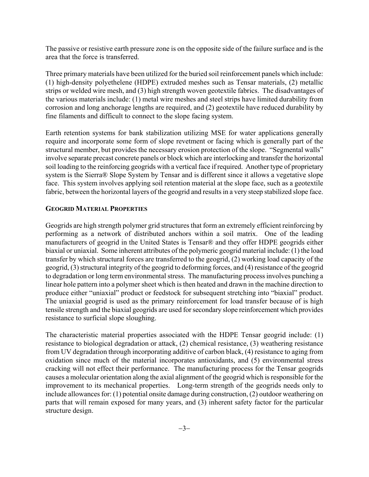The passive or resistive earth pressure zone is on the opposite side of the failure surface and is the area that the force is transferred.

Three primary materials have been utilized for the buried soil reinforcement panels which include: (1) high-density polyethelene (HDPE) extruded meshes such as Tensar materials, (2) metallic strips or welded wire mesh, and (3) high strength woven geotextile fabrics. The disadvantages of the various materials include: (1) metal wire meshes and steel strips have limited durability from corrosion and long anchorage lengths are required, and (2) geotextile have reduced durability by fine filaments and difficult to connect to the slope facing system.

Earth retention systems for bank stabilization utilizing MSE for water applications generally require and incorporate some form of slope revetment or facing which is generally part of the structural member, but provides the necessary erosion protection of the slope. "Segmental walls" involve separate precast concrete panels or block which are interlocking and transfer the horizontal soil loading to the reinforcing geogrids with a vertical face if required. Another type of proprietary system is the Sierra® Slope System by Tensar and is different since it allows a vegetative slope face. This system involves applying soil retention material at the slope face, such as a geotextile fabric, between the horizontal layers of the geogrid and results in a very steep stabilized slope face.

## **GEOGRID MATERIAL PROPERTIES**

Geogrids are high strength polymer grid structures that form an extremely efficient reinforcing by performing as a network of distributed anchors within a soil matrix. One of the leading manufacturers of geogrid in the United States is Tensar® and they offer HDPE geogrids either biaxial or uniaxial. Some inherent attributes of the polymeric geogrid material include: (1) the load transfer by which structural forces are transferred to the geogrid, (2) working load capacity of the geogrid, (3) structural integrity of the geogrid to deforming forces, and (4) resistance of the geogrid to degradation or long term environmental stress. The manufacturing process involves punching a linear hole pattern into a polymer sheet which is then heated and drawn in the machine direction to produce either "uniaxial" product or feedstock for subsequent stretching into "biaxial" product. The uniaxial geogrid is used as the primary reinforcement for load transfer because of is high tensile strength and the biaxial geogrids are used for secondary slope reinforcement which provides resistance to surficial slope sloughing.

The characteristic material properties associated with the HDPE Tensar geogrid include: (1) resistance to biological degradation or attack, (2) chemical resistance, (3) weathering resistance from UV degradation through incorporating additive of carbon black, (4) resistance to aging from oxidation since much of the material incorporates antioxidants, and (5) environmental stress cracking will not effect their performance. The manufacturing process for the Tensar geogrids causes a molecular orientation along the axial alignment of the geogrid which is responsible for the improvement to its mechanical properties. Long-term strength of the geogrids needs only to include allowances for: (1) potential onsite damage during construction, (2) outdoor weathering on parts that will remain exposed for many years, and (3) inherent safety factor for the particular structure design.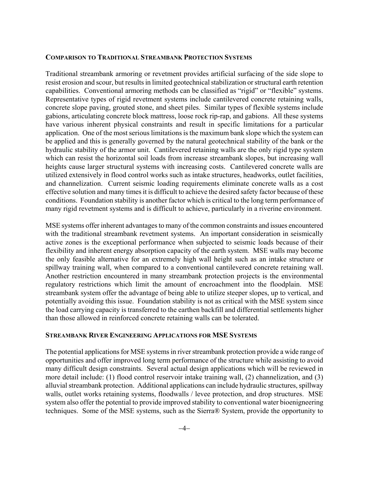#### **COMPARISON TO TRADITIONAL STREAMBANK PROTECTION SYSTEMS**

Traditional streambank armoring or revetment provides artificial surfacing of the side slope to resist erosion and scour, but results in limited geotechnical stabilization or structural earth retention capabilities. Conventional armoring methods can be classified as "rigid" or "flexible" systems. Representative types of rigid revetment systems include cantilevered concrete retaining walls, concrete slope paving, grouted stone, and sheet piles. Similar types of flexible systems include gabions, articulating concrete block mattress, loose rock rip-rap, and gabions. All these systems have various inherent physical constraints and result in specific limitations for a particular application. One of the most serious limitations is the maximum bank slope which the system can be applied and this is generally governed by the natural geotechnical stability of the bank or the hydraulic stability of the armor unit. Cantilevered retaining walls are the only rigid type system which can resist the horizontal soil loads from increase streambank slopes, but increasing wall heights cause larger structural systems with increasing costs. Cantilevered concrete walls are utilized extensively in flood control works such as intake structures, headworks, outlet facilities, and channelization. Current seismic loading requirements eliminate concrete walls as a cost effective solution and many times it is difficult to achieve the desired safety factor because of these conditions. Foundation stability is another factor which is critical to the long term performance of many rigid revetment systems and is difficult to achieve, particularly in a riverine environment.

MSE systems offer inherent advantages to many of the common constraints and issues encountered with the traditional streambank revetment systems. An important consideration in seismically active zones is the exceptional performance when subjected to seismic loads because of their flexibility and inherent energy absorption capacity of the earth system. MSE walls may become the only feasible alternative for an extremely high wall height such as an intake structure or spillway training wall, when compared to a conventional cantilevered concrete retaining wall. Another restriction encountered in many streambank protection projects is the environmental regulatory restrictions which limit the amount of encroachment into the floodplain. MSE streambank system offer the advantage of being able to utilize steeper slopes, up to vertical, and potentially avoiding this issue. Foundation stability is not as critical with the MSE system since the load carrying capacity is transferred to the earthen backfill and differential settlements higher than those allowed in reinforced concrete retaining walls can be tolerated.

### **STREAMBANK RIVER ENGINEERING APPLICATIONS FOR MSE SYSTEMS**

The potential applications for MSE systems in river streambank protection provide a wide range of opportunities and offer improved long term performance of the structure while assisting to avoid many difficult design constraints. Several actual design applications which will be reviewed in more detail include: (1) flood control reservoir intake training wall, (2) channelization, and (3) alluvial streambank protection. Additional applications can include hydraulic structures, spillway walls, outlet works retaining systems, floodwalls / levee protection, and drop structures. MSE system also offer the potential to provide improved stability to conventional water bioenigneering techniques. Some of the MSE systems, such as the Sierra® System, provide the opportunity to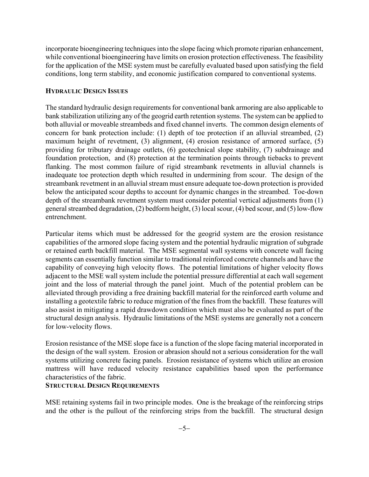incorporate bioengineering techniques into the slope facing which promote riparian enhancement, while conventional bioengineering have limits on erosion protection effectiveness. The feasibility for the application of the MSE system must be carefully evaluated based upon satisfying the field conditions, long term stability, and economic justification compared to conventional systems.

# **HYDRAULIC DESIGN ISSUES**

The standard hydraulic design requirements for conventional bank armoring are also applicable to bank stabilization utilizing any of the geogrid earth retention systems. The system can be applied to both alluvial or moveable streambeds and fixed channel inverts. The common design elements of concern for bank protection include: (1) depth of toe protection if an alluvial streambed, (2) maximum height of revetment, (3) alignment, (4) erosion resistance of armored surface, (5) providing for tributary drainage outlets, (6) geotechnical slope stability, (7) subdrainage and foundation protection, and (8) protection at the termination points through tiebacks to prevent flanking. The most common failure of rigid streambank revetments in alluvial channels is inadequate toe protection depth which resulted in undermining from scour. The design of the streambank revetment in an alluvial stream must ensure adequate toe-down protection is provided below the anticipated scour depths to account for dynamic changes in the streambed. Toe-down depth of the streambank revetment system must consider potential vertical adjustments from (1) general streambed degradation, (2) bedform height, (3) local scour, (4) bed scour, and (5) low-flow entrenchment.

Particular items which must be addressed for the geogrid system are the erosion resistance capabilities of the armored slope facing system and the potential hydraulic migration of subgrade or retained earth backfill material. The MSE segmental wall systems with concrete wall facing segments can essentially function similar to traditional reinforced concrete channels and have the capability of conveying high velocity flows. The potential limitations of higher velocity flows adjacent to the MSE wall system include the potential pressure differential at each wall segement joint and the loss of material through the panel joint. Much of the potential problem can be alleviated through providing a free draining backfill material for the reinforced earth volume and installing a geotextile fabric to reduce migration of the fines from the backfill. These features will also assist in mitigating a rapid drawdown condition which must also be evaluated as part of the structural design analysis. Hydraulic limitations of the MSE systems are generally not a concern for low-velocity flows.

Erosion resistance of the MSE slope face is a function of the slope facing material incorporated in the design of the wall system. Erosion or abrasion should not a serious consideration for the wall systems utilizing concrete facing panels. Erosion resistance of systems which utilize an erosion mattress will have reduced velocity resistance capabilities based upon the performance characteristics of the fabric.

### **STRUCTURAL DESIGN REQUIREMENTS**

MSE retaining systems fail in two principle modes. One is the breakage of the reinforcing strips and the other is the pullout of the reinforcing strips from the backfill. The structural design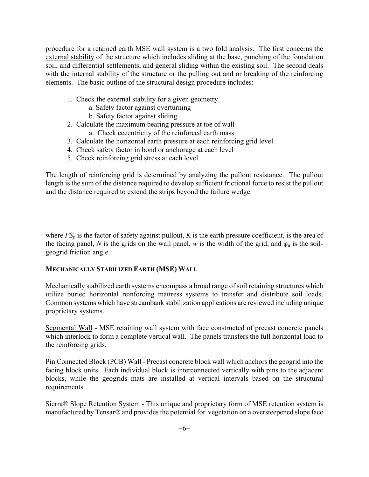procedure for a retained earth MSE wall system is a two fold analysis. The first concerns the external stability of the structure which includes sliding at the base, punching of the foundation soil, and differential settlements, and general sliding within the existing soil. The second deals with the internal stability of the structure or the pulling out and or breaking of the reinforcing elements. The basic outline of the structural design procedure includes:

- 1. Check the external stability for a given geometry
	- a. Safety factor against overturning
	- b. Safety factor against sliding
- 2. Calculate the maximum bearing pressure at toe of wall a. Check eccentricity of the reinforced earth mass
- 3. Calculate the horizontal earth pressure at each reinforcing grid level
- 4. Check safety factor in bond or anchorage at each level
- 5. Check reinforcing grid stress at each level

The length of reinforcing grid is determined by analyzing the pullout resistance. The pullout length is the sum of the distance required to develop sufficient frictional force to resist the pullout and the distance required to extend the strips beyond the failure wedge.

where  $FS_p$  is the factor of safety against pullout, *K* is the earth pressure coefficient, is the area of the facing panel, *N* is the grids on the wall panel, *w* is the width of the grid, and  $\varphi_u$  is the soilgeogrid friction angle.

# **MECHANICALLY STABILIZED EARTH (MSE) WALL**

Mechanically stabilized earth systems encompass a broad range of soil retaining structures which utilize buried horizontal reinforcing mattress systems to transfer and distribute soil loads. Common systems which have streambank stabilization applications are reviewed including unique proprietary systems.

Segmental Wall - MSE retaining wall system with face constructed of precast concrete panels which interlock to form a complete vertical wall. The panels transfers the full horizontal load to the reinforcing grids.

Pin Connected Block (PCB) Wall - Precast concrete block wall which anchors the geogrid into the facing block units. Each individual block is interconnected vertically with pins to the adjacent blocks, while the geogrids mats are installed at vertical intervals based on the structural requirements.

Sierra® Slope Retention System - This unique and proprietary form of MSE retention system is manufactured by Tensar® and provides the potential for vegetation on a oversteepened slope face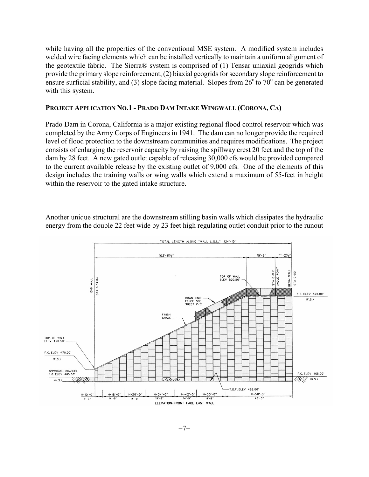while having all the properties of the conventional MSE system. A modified system includes welded wire facing elements which can be installed vertically to maintain a uniform alignment of the geotextile fabric. The Sierra® system is comprised of (1) Tensar uniaxial geogrids which provide the primary slope reinforcement, (2) biaxial geogrids for secondary slope reinforcement to ensure surficial stability, and (3) slope facing material. Slopes from  $26^{\circ}$  to  $70^{\circ}$  can be generated with this system.

# **PROJECT APPLICATION NO.1 - PRADO DAM INTAKE WINGWALL (CORONA, CA)**

Prado Dam in Corona, California is a major existing regional flood control reservoir which was completed by the Army Corps of Engineers in 1941. The dam can no longer provide the required level of flood protection to the downstream communities and requires modifications. The project consists of enlarging the reservoir capacity by raising the spillway crest 20 feet and the top of the dam by 28 feet. A new gated outlet capable of releasing 30,000 cfs would be provided compared to the current available release by the existing outlet of 9,000 cfs. One of the elements of this design includes the training walls or wing walls which extend a maximum of 55-feet in height within the reservoir to the gated intake structure.

Another unique structural are the downstream stilling basin walls which dissipates the hydraulic energy from the double 22 feet wide by 23 feet high regulating outlet conduit prior to the runout

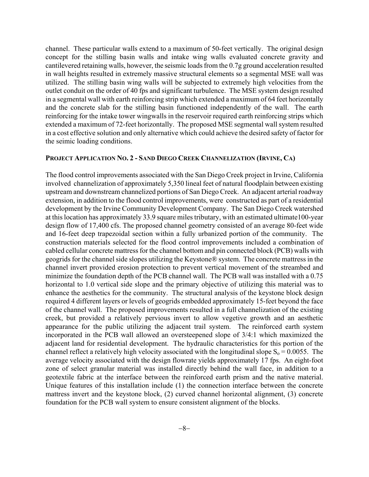channel. These particular walls extend to a maximum of 50-feet vertically. The original design concept for the stilling basin walls and intake wing walls evaluated concrete gravity and cantilevered retaining walls, however, the seismic loads from the 0.7g ground acceleration resulted in wall heights resulted in extremely massive structural elements so a segmental MSE wall was utilized. The stilling basin wing walls will be subjected to extremely high velocities from the outlet conduit on the order of 40 fps and significant turbulence. The MSE system design resulted in a segmental wall with earth reinforcing strip which extended a maximum of 64 feet horizontally and the concrete slab for the stilling basin functioned independently of the wall. The earth reinforcing for the intake tower wingwalls in the reservoir required earth reinforcing strips which extended a maximum of 72-feet horizontally. The proposed MSE segmental wall system resulted in a cost effective solution and only alternative which could achieve the desired safety of factor for the seimic loading conditions.

# **PROJECT APPLICATION NO. 2 - SAND DIEGO CREEK CHANNELIZATION (IRVINE, CA)**

The flood control improvements associated with the San Diego Creek project in Irvine, California involved channelization of approximately 5,350 lineal feet of natural floodplain between existing upstream and downstream channelized portions of San Diego Creek. An adjacent arterial roadway extension, in addition to the flood control improvements, were constructed as part of a residential development by the Irvine Community Development Company. The San Diego Creek watershed at this location has approximately 33.9 square miles tributary, with an estimated ultimate100-year design flow of 17,400 cfs. The proposed channel geometry consisted of an average 80-feet wide and 16-feet deep trapezoidal section within a fully urbanized portion of the community. The construction materials selected for the flood control improvements included a combination of cabled cellular concrete mattress for the channel bottom and pin connected block (PCB) walls with geogrids for the channel side slopes utilizing the Keystone® system. The concrete mattress in the channel invert provided erosion protection to prevent vertical movement of the streambed and minimize the foundation depth of the PCB channel wall. The PCB wall was installed with a 0.75 horizontal to 1.0 vertical side slope and the primary objective of utilizing this material was to enhance the aesthetics for the community. The structural analysis of the keystone block design required 4 different layers or levels of geogrids embedded approximately 15-feet beyond the face of the channel wall. The proposed improvements resulted in a full channelization of the existing creek, but provided a relatively pervious invert to allow vegetive growth and an aesthetic appearance for the public utilizing the adjacent trail system. The reinforced earth system incorporated in the PCB wall allowed an oversteepened slope of 3/4:1 which maximized the adjacent land for residential development. The hydraulic characteristics for this portion of the channel reflect a relatively high velocity associated with the longitudinal slope  $S_0 = 0.0055$ . The average velocity associated with the design flowrate yields approximately 17 fps. An eight-foot zone of select granular material was installed directly behind the wall face, in addition to a geotextile fabric at the interface between the reinforced earth prism and the native material. Unique features of this installation include (1) the connection interface between the concrete mattress invert and the keystone block, (2) curved channel horizontal alignment, (3) concrete foundation for the PCB wall system to ensure consistent alignment of the blocks.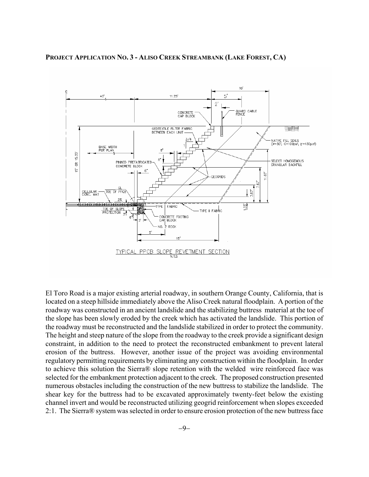

### **PROJECT APPLICATION NO. 3 - ALISO CREEK STREAMBANK (LAKE FOREST, CA)**

El Toro Road is a major existing arterial roadway, in southern Orange County, California, that is located on a steep hillside immediately above the Aliso Creek natural floodplain. A portion of the roadway was constructed in an ancient landslide and the stabilizing buttress material at the toe of the slope has been slowly eroded by the creek which has activated the landslide. This portion of the roadway must be reconstructed and the landslide stabilized in order to protect the community. The height and steep nature of the slope from the roadway to the creek provide a significant design constraint, in addition to the need to protect the reconstructed embankment to prevent lateral erosion of the buttress. However, another issue of the project was avoiding environmental regulatory permitting requirements by eliminating any construction within the floodplain. In order to achieve this solution the Sierra® slope retention with the welded wire reinforced face was selected for the embankment protection adjacent to the creek. The proposed construction presented numerous obstacles including the construction of the new buttress to stabilize the landslide. The shear key for the buttress had to be excavated approximately twenty-feet below the existing channel invert and would be reconstructed utilizing geogrid reinforcement when slopes exceeded 2:1. The Sierra® system was selected in order to ensure erosion protection of the new buttress face